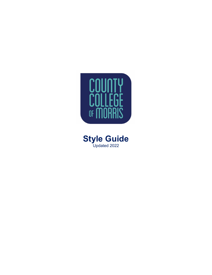

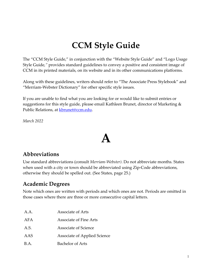### **CCM Style Guide**

The "CCM Style Guide," in conjunction with the "Website Style Guide" and "Logo Usage Style Guide*,"* provides standard guidelines to convey a positive and consistent image of CCM in its printed materials, on its website and in its other communications platforms.

Along with these guidelines, writers should refer to "The Associate Press Stylebook" and "Merriam-Webster Dictionary" for other specific style issues.

 suggestions for this style guide, please email Kathleen Brunet, director of Marketing & Public Relations, at <u>kbrunet@ccm.edu</u>. If you are unable to find what you are looking for or would like to submit entries or

*March 2022* 

### **A**

#### **Abbreviations**

 otherwise they should be spelled out. (See States, page 25.) Use standard abbreviations (consult *Merriam-Webster)*. Do not abbreviate months. States when used with a city or town should be abbreviated using Zip-Code abbreviations,

#### **Academic Degrees**

Note which ones are written with periods and which ones are not. Periods are omitted in those cases where there are three or more consecutive capital letters.

| A.A. | Associate of Arts                   |
|------|-------------------------------------|
| AFA  | Associate of Fine Arts              |
| A.S. | <b>Associate of Science</b>         |
| AAS  | <b>Associate of Applied Science</b> |
| B.A. | <b>Bachelor of Arts</b>             |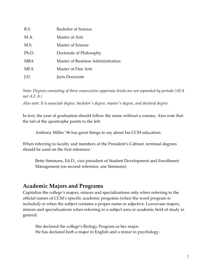| B.S.       | Bachelor of Science               |
|------------|-----------------------------------|
| M.A.       | Master of Arts                    |
| M.S.       | Master of Science                 |
| Ph.D.      | Doctorate of Philosophy           |
| MBA        | Master of Business Administration |
| <b>MFA</b> | Master of Fine Arts               |
| 1.D.       | Juris Doctorate                   |

*Note: Degrees consisting of three consecutive uppercase levels are not separated by periods (AFA not A.F.A.)* 

*Also note: It is associate degree, bachelor's degree, master's degree, and doctoral degree.* 

In text, the year of graduation should follow the name without a comma. Also note that the tail of the apostrophe points to the left:

Anthony Miller '96 has great things to say about his CCM education.

When referring to faculty and members of the President's Cabinet, terminal degrees should be used on the first reference:

Bette Simmons, Ed.D., vice president of Student Development and Enrollment Management (on second reference, use Simmons)

#### **Academic Majors and Programs**

 minors and specializations when referring to a subject area or academic field of study in Capitalize the college's majors, minors and specializations only when referring to the official names of CCM's specific academic programs (when the word program is included) or when the subject contains a proper name or adjective. Lowercase majors, general:

She declared the college's Biology Program as her major. He has declared both a major in English and a minor in psychology.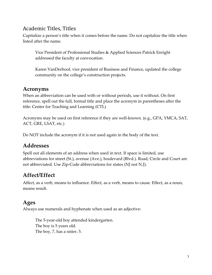#### Academic Titles, Titles

Capitalize a person's title when it comes before the name. Do not capitalize the title when listed after the name.

Vice President of Professional Studies & Applied Sciences Patrick Enright addressed the faculty at convocation.

Karen VanDerhoof, vice president of Business and Finance, updated the college community on the college's construction projects.

#### **Acronyms**

 title: Center for Teaching and Learning (CTL) When an abbreviation can be used with or without periods, use it without. On first reference, spell out the full, formal title and place the acronym in parentheses after the

Acronyms may be used on first reference if they are well-known. (e.g., GPA, YMCA, SAT, ACT, GRE, LSAT, etc.)

Do NOT include the acronym if it is not used again in the body of the text.

#### **Addresses**

 not abbreviated. Use Zip-Code abbreviations for states (NJ not N.J). Spell out all elements of an address when used in text. If space is limited, use abbreviations for street (St.), avenue (Ave.), boulevard (Blvd.). Road, Circle and Court are

#### **Affect/Effect**

Affect, as a verb, means to influence. Effect, as a verb, means to cause. Effect, as a noun, means result.

#### **Ages**

Always use numerals and hyphenate when used as an adjective:

The 5-year-old boy attended kindergarten. The boy is 5 years old. The boy, 7, has a sister, 5.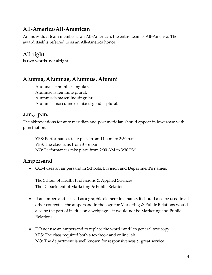#### **All-America/All-American**

An individual team member is an All-American, the entire team is All-America. The award itself is referred to as an All-America honor.

#### **All right**

Is two words, not alright

#### **Alumna, Alumnae, Alumnus, Alumni**

Alumna is feminine singular. Alumnae is feminine plural. Alumnus is masculine singular. Alumni is masculine or mixed-gender plural.

#### **a.m., p.m.**

The abbreviations for ante meridian and post meridian should appear in lowercase with punctuation.

 YES: The class runs from 3 – 6 p.m. YES: Performances take place from 11 a.m. to 3:30 p.m. NO: Performances take place from 2:00 AM to 3:30 PM.

#### **Ampersand**

• CCM uses an ampersand in Schools, Division and Department's names:

The School of Health Professions & Applied Sciences The Department of Marketing & Public Relations

- If an ampersand is used as a graphic element in a name, it should also be used in all other contexts – the ampersand in the logo for Marketing & Public Relations would also be the part of its title on a webpage – it would not be Marketing and Public Relations
- DO not use an ampersand to replace the word "and" in general text copy. YES: The class required both a textbook and online lab NO: The department is well known for responsiveness & great service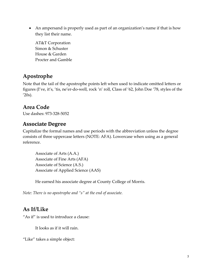• An ampersand is properly used as part of an organization's name if that is how they list their name.

 Procter and Gamble AT&T Corporation Simon & Schuster House & Garden

#### **Apostrophe**

Note that the tail of the apostrophe points left when used to indicate omitted letters or figures (I've, it's, 'tis, ne'er-do-well, rock 'n' roll, Class of '62, John Doe '78, styles of the  $'20s$ ).

#### **Area Code**

Use dashes: 973-328-5052

#### **Associate Degree**

 Capitalize the formal names and use periods with the abbreviation unless the degree consists of three uppercase letters (NOTE: AFA). Lowercase when using as a general reference.

 Associate of Arts (A.A.) Associate of Fine Arts (AFA) Associate of Science (A.S.) Associate of Applied Science (AAS)

He earned his associate degree at County College of Morris.

 *Note: There is no apostrophe and "s" at the end of associate.* 

#### **As If/Like**

"As if" is used to introduce a clause: It looks as if it will rain.

"Like" takes a simple object: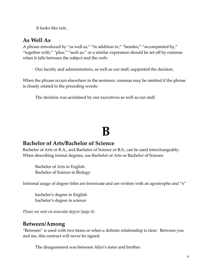It looks like rain.

#### **As Well As**

A phrase introduced by "as well as," "in addition to," "besides," "accompanied by," "together with," "plus," "such as," or a similar expression should be set off by commas when it falls between the subject and the verb:

Our faculty and administrators, as well as our staff, supported the decision.

is closely related to the preceding words: When the phrase occurs elsewhere in the sentence, commas may be omitted if the phrase

The decision was acclaimed by our executives as well as our staff.

# **B**

#### **Bachelor of Arts/Bachelor of Science**

Bachelor of Arts or B.A., and Bachelor of Science or B.S., can be used interchangeably.<br>When describing formal degrees, use Bachelor of Arts or Bachelor of Science:

Bachelor of Arts in English Bachelor of Science in Biology

Informal usage of degree titles are lowercase and are written with an apostrophe and "s"

bachelor's degree in English bachelor's degree in science

*Please see note on associate degree (page 4).* 

#### **Between/Among**

 "Between" is used with two items or when a definite relationship is clear: Between you and me, this contract will never be signed.

The disagreement was between Alice's sister and brother.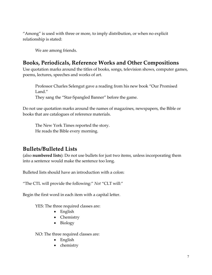relationship is stated: "Among" is used with three or more, to imply distribution, or when no explicit

We are among friends.

#### **Books, Periodicals, Reference Works and Other Compositions**

Use quotation marks around the titles of books, songs, television shows, computer games, poems, lectures, speeches and works of art.

Professor Charles Selengut gave a reading from his new book "Our Promised Land." They sang the "Star-Spangled Banner" before the game.

Do not use quotation marks around the names of magazines, newspapers, the Bible or books that are catalogues of reference materials.

The New York Times reported the story. He reads the Bible every morning.

#### **Bullets/Bulleted Lists**

(also **numbered lists**): Do not use bullets for just two items, unless incorporating them into a sentence would make the sentence too long.

Bulleted lists should have an introduction with a colon:

"The CTL will provide the following:" *Not* "CLT will:"

Begin the first word in each item with a capital letter.

YES: The three required classes are:

- English
- Chemistry
- Biology

NO: The three required classes are:

- English
- chemistry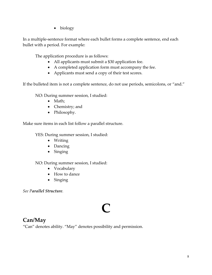• biology

In a multiple-sentence format where each bullet forms a complete sentence, end each bullet with a period. For example:

The application procedure is as follows:

- All applicants must submit a \$30 application fee.
- A completed application form must accompany the fee.
- Applicants must send a copy of their test scores.

If the bulleted item is not a complete sentence, do not use periods, semicolons, or "and."

NO: During summer session, I studied:

- Math;
- Chemistry; and
- Philosophy.

Make sure items in each list follow a parallel structure.

YES: During summer session, I studied:

- Writing
- Dancing
- Singing

NO: During summer session, I studied:

- Vocabulary
- How to dance
- Singing

*See Parallel Structure.* 

# **C**

#### **Can/May**

"Can" denotes ability. "May" denotes possibility and permission.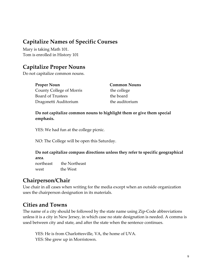#### **Capitalize Names of Specific Courses**

Mary is taking Math 101. Tom is enrolled in History 101

#### **Capitalize Proper Nouns**

Do not capitalize common nouns.

| <b>Proper Noun</b>       | <b>Common Nouns</b> |
|--------------------------|---------------------|
| County College of Morris | the college         |
| <b>Board of Trustees</b> | the board           |
| Dragonetti Auditorium    | the auditorium      |

**Do not capitalize common nouns to highlight them or give them special emphasis.** 

YES: We had fun at the college picnic.

NO: The College will be open this Saturday.

#### **Do not capitalize compass directions unless they refer to specific geographical area**.

northeast the Northeast west the West

#### **Chairperson/Chair**

Use chair in all cases when writing for the media except when an outside organization uses the chairperson designation in its materials.

#### **Cities and Towns**

 The name of a city should be followed by the state name using Zip-Code abbreviations unless it is a city in New Jersey, in which case no state designation is needed. A comma is used between city and state, and after the state when the sentence continues.

YES: He is from Charlottesville, VA, the home of UVA. YES: She grew up in Morristown.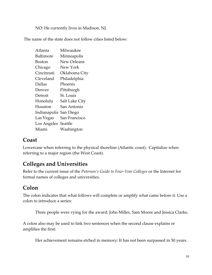NO: He currently lives in Madison, NJ.

The name of the state does not follow cities listed below:

| Atlanta                | Milwaukee          |
|------------------------|--------------------|
| Baltimore              | Minneapolis        |
| Boston                 | <b>New Orleans</b> |
| Chicago                | New York           |
| Cincinnati             | Oklahoma City      |
| Cleveland              | Philadelphia       |
| Dallas                 | Phoenix            |
| Denver                 | Pittsburgh         |
| Detroit                | St. Louis          |
| Honolulu               | Salt Lake City     |
| Houston                | San Antonio        |
| Indianapolis San Diego |                    |
| Las Vegas              | San Francisco      |
| Los Angeles            | Seattle            |
| Miami                  | Washington         |

#### **Coast**

Lowercase when referring to the physical shoreline (Atlantic coast). Capitalize when referring to a major region (the West Coast).

#### **Colleges and Universities**

Refer to the current issue of the *Peterson's Guide to Four-Year Colleges* or the Internet for formal names of colleges and universities.

#### **Colon**

The colon indicates that what follows will complete or amplify what came before it. Use a colon to introduce a series:

Three people were vying for the award: John Miller, Sam Moore and Jessica Clarke.

A colon also may be used to link two sentences when the second clause explains or amplifies the first:

Her achievement remains etched in memory: It has not been surpassed in 50 years.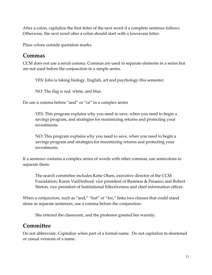After a colon, capitalize the first letter of the next word if a complete sentence follows. Otherwise, the next word after a colon should start with a lowercase letter.

Place colons outside quotation marks.

#### **Commas**

CCM does not use a serial comma. Commas are used to separate elements in a series but are not used before the conjunction in a simple series.

YES: John is taking biology, English, art and psychology this semester.

NO: The flag is red, white, and blue.

Do use a comma before "and" or "or" in a complex series

YES: This program explains why you need to save, when you need to begin a savings program, and strategies for maximizing returns and protecting your investments.

NO: This program explains why you need to save, when you need to begin a savings program and strategies for maximizing returns and protecting your investments.

If a sentence contains a complex series of words with other commas, use semicolons to separate them:

The search committee includes Katie Olsen, executive director of the CCM Foundation; Karen VanDerhoof, vice president of Business & Finance; and Robert Stirton, vice president of Institutional Effectiveness and chief information officer.

When a conjunction, such as "and," "but" or "for," links two clauses that could stand alone as separate sentences, use a comma before the conjunction.

She entered the classroom, and the professor greeted her warmly.

#### **Committee**

Do not abbreviate. Capitalize when part of a formal name. Do not capitalize in shortened or casual versions of a name.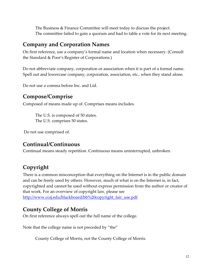The Business & Finance Committee will meet today to discuss the project. The committee failed to gain a quorum and had to table a vote for its next meeting.

#### **Company and Corporation Names**

On first reference, use a company's formal name and location when necessary. (Consult the Standard & Poor's Register of Corporations.)

Spell out and lowercase company, corporation, association, etc., when they stand alone.<br>Do not use a comma before Inc. and Ltd. Do not abbreviate company, corporation or association when it is part of a formal name.

#### **Compose/Comprise**

Composed of means made up of. Comprises means includes. The U.S. is composed of 50 states.

The U.S. comprises 50 states.

Do not use comprised of.

#### **Continual/Continuous**

Continual means steady repetition. Continuous means uninterrupted, unbroken.

#### **Copyright**

 that work. For an overview of copyright law, please see http://www.ccsj.edu/blackboard/bb%20copyright\_fair\_use.pdf There is a common misconception that everything on the Internet is in the public domain and can be freely used by others. However, much of what is on the Internet is, in fact, copyrighted and cannot be used without express permission from the author or creator of

#### **County College of Morris**

On first reference always spell out the full name of the college.

Note that the college name is not preceded by "the"

County College of Morris, not the County College of Morris.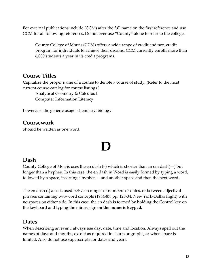CCM for all following references. Do not ever use "County" alone to refer to the college. For external publications include (CCM) after the full name on the first reference and use

County College of Morris (CCM) offers a wide range of credit and non-credit program for individuals to achieve their dreams. CCM currently enrolls more than 6,000 students a year in its credit programs.

#### **Course Titles**

Capitalize the proper name of a course to denote a course of study. (Refer to the most current course catalog for course listings.)

Analytical Geometry & Calculus I Computer Information Literacy

Lowercase the generic usage: chemistry, biology

#### **Coursework**

Should be written as one word.

# **D**

#### **Dash**

County College of Morris uses the en dash (–) which is shorter than an em dash(—) but<br>longer than a hyphen. In this case, the en dash in Word is easily formed by typing a word, longer than a hyphen. In this case, the en dash in Word is easily formed by typing a word, followed by a space, inserting a hyphen – and another space and then the next word.

The en dash (-) also is used between ranges of numbers or dates, or between adjectival phrases containing two-word concepts (1984-87; pp. 123-34; New York-Dallas flight) with no spaces on either side. In this case, the en dash is formed by holding the Control key on the keyboard and typing the minus sign **on the numeric keypad.** 

#### **Dates**

When describing an event, always use day, date, time and location. Always spell out the names of days and months, except as required in charts or graphs, or when space is limited. Also do not use superscripts for dates and years.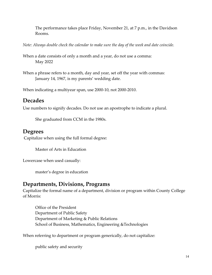The performance takes place Friday, November 21, at 7 p.m., in the Davidson Rooms.

*Note: Always double check the calendar to make sure the day of the week and date coincide.* 

When a date consists of only a month and a year, do not use a comma: May 2022

When a phrase refers to a month, day and year, set off the year with commas: January 14, 1967, is my parents' wedding date.

When indicating a multiyear span, use 2000-10, not 2000-2010.

#### **Decades**

Use numbers to signify decades. Do not use an apostrophe to indicate a plural.

She graduated from CCM in the 1980s.

#### **Degrees**

Capitalize when using the full formal degree:

Master of Arts in Education

Lowercase when used casually:

master's degree in education

#### **Departments, Divisions, Programs**

of Morris: Capitalize the formal name of a department, division or program within County College

Office of the President Department of Public Safety Department of Marketing & Public Relations School of Business, Mathematics, Engineering &Technologies

When referring to department or program generically, do not capitalize:

public safety and security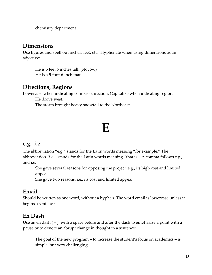chemistry department

#### **Dimensions**

adjective: Use figures and spell out inches, feet, etc. Hyphenate when using dimensions as an

He is 5 feet 6 inches tall. (Not 5-6) He is a 5-foot-6-inch man.

#### **Directions, Regions**

He drove west. Lowercase when indicating compass direction. Capitalize when indicating region:

The storm brought heavy snowfall to the Northeast.

### **E**

#### **e.g., i.e.**

The abbreviation "e.g." stands for the Latin words meaning "for example." The abbreviation "i.e." stands for the Latin words meaning "that is." A comma follows e.g., and i.e.

She gave several reasons for opposing the project: e.g., its high cost and limited appeal.

She gave two reasons: i.e., its cost and limited appeal.

#### **Email**

Should be written as one word, without a hyphen. The word email is lowercase unless it begins a sentence.

#### **En Dash**

Use an en dash  $(-)$  with a space before and after the dash to emphasize a point with a pause or to denote an abrupt change in thought in a sentence:

The goal of the new program – to increase the student's focus on academics – is simple, but very challenging.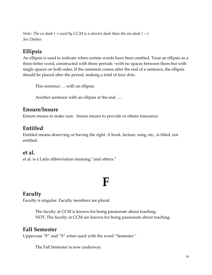*Note: The en dash (–) used by CCM is a shorter dash than the em dash (—). See Dashes* 

#### **Ellipsis**

 An ellipsis is used to indicate when certain words have been omitted. Treat an ellipsis as a should be placed after the period, making a total of four dots. three-letter word, constructed with three periods –with no spaces between them but with single spaces on both sides. If the omission comes after the end of a sentence, the ellipsis

This sentence … with an ellipsis.

Another sentence with an ellipsis at the end ….

#### **Ensure/Insure**

Ensure means to make sure. Insure means to provide or obtain insurance.

#### **Entitled**

Entitled means deserving or having the right. A book, lecture, song, etc., is titled, not entitled.

#### **et al.**

et al. is a Latin abbreviation meaning "and others."

### **F**

#### **Faculty**

Faculty is singular. Faculty members are plural.

The faculty at CCM is known for being passionate about teaching. NOT: The faculty at CCM are known for being passionate about teaching.

#### **Fall Semester**

Uppercase "F" and "S" when used with the word "Semester."

The Fall Semester is now underway.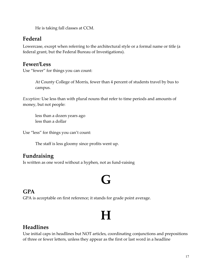He is taking fall classes at CCM.

#### **Federal**

 federal grant, but the Federal Bureau of Investigations). Lowercase, except when referring to the architectural style or a formal name or title (a

#### **Fewer/Less**

Use "fewer" for things you can count:

At County College of Morris, fewer than 4 percent of students travel by bus to campus.

 *Exception:* Use less than with plural nouns that refer to time periods and amounts of money, but not people:

less than a dozen years ago less than a dollar

Use "less" for things you can't count:

The staff is less gloomy since profits went up.

#### **Fundraising**

Is written as one word without a hyphen, not as fund-raising

### **G**

#### **GPA**

GPA is acceptable on first reference; it stands for grade point average.

### **H**

#### **Headlines**

 Use initial caps in headlines but NOT articles, coordinating conjunctions and prepositions of three or fewer letters, unless they appear as the first or last word in a headline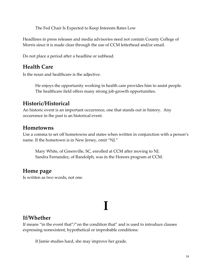The Fed Chair Is Expected to Keep Interests Rates Low

 Morris since it is made clear through the use of CCM letterhead and/or email. Headlines in press releases and media advisories need not contain County College of

Do not place a period after a headline or subhead.

#### **Health Care**

Is the noun and healthcare is the adjective.

 The healthcare field offers many strong job-growth opportunities. He enjoys the opportunity working in health care provides him to assist people.

#### **Historic/Historical**

 An historic event is an important occurrence, one that stands out in history. Any occurrence in the past is an historical event.

#### **Hometowns**

Use a comma to set off hometowns and states when written in conjunction with a person's name. If the hometown is in New Jersey, omit "NJ."

 Sandra Fernandez, of Randolph, was in the Honors program at CCM. Mary White, of Greenville, SC, enrolled at CCM after moving to NJ.

#### **Home page**

Is written as two words, not one.

# **I**

#### **If/Whether**

If means "in the event that"/"on the condition that" and is used to introduce clauses expressing nonexistent, hypothetical or improbable conditions:

If Jamie studies hard, she may improve her grade.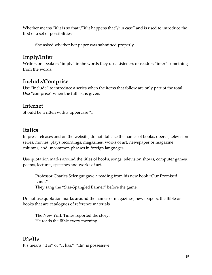first of a set of possibilities: first of a set of possibilities:<br>She asked whether her paper was submitted properly. Whether means "if it is so that"/"if it happens that"/"in case" and is used to introduce the

#### **Imply/Infer**

Writers or speakers "imply" in the words they use. Listeners or readers "infer" something from the words.

#### **Include/Comprise**

 Use "include" to introduce a series when the items that follow are only part of the total. Use "comprise" when the full list is given.

#### **Internet**

Should be written with a uppercase "I"

#### **Italics**

columns, and uncommon phrases in foreign languages. In press releases and on the website, do not italicize the names of books, operas, television series, movies, plays recordings, magazines, works of art, newspaper or magazine

Use quotation marks around the titles of books, songs, television shows, computer games, poems, lectures, speeches and works of art.

Professor Charles Selengut gave a reading from his new book "Our Promised Land."

They sang the "Star-Spangled Banner" before the game.

Do not use quotation marks around the names of magazines, newspapers, the Bible or books that are catalogues of reference materials.

The New York Times reported the story. He reads the Bible every morning.

#### **It's/Its**

It's means "it is" or "it has." "Its" is possessive.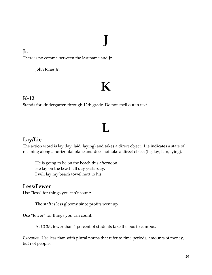# **J**

#### **Jr.**

There is no comma between the last name and Jr.

John Jones Jr.

### **K**

#### **K-12**

Stands for kindergarten through 12th grade. Do not spell out in text.

### **L**

#### **Lay/Lie**

The action word is lay (lay, laid, laying) and takes a direct object. Lie indicates a state of reclining along a horizontal plane and does not take a direct object (lie, lay, lain, lying).

He is going to lie on the beach this afternoon.<br>He lay on the beach all day yesterday.<br>I will lay my beach towel next to his.

#### **Less/Fewer**

Use "less" for things you can't count:

The staff is less gloomy since profits went up.

Use "fewer" for things you can count:

At CCM, fewer than 4 percent of students take the bus to campus.

*Exception:* Use less than with plural nouns that refer to time periods, amounts of money, but not people: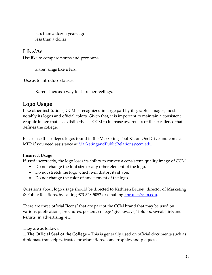less than a dozen years ago less than a dollar

#### **Like/As**

Use like to compare nouns and pronouns: Karen sings like a bird.

Use as to introduce clauses:

Karen sings as a way to share her feelings.

#### **Logo Usage**

Like other institutions, CCM is recognized in large part by its graphic images, most notably its logos and official colors. Given that, it is important to maintain a consistent graphic image that is as distinctive as CCM to increase awareness of the excellence that defines the college.

 Please use the colleges logos found in the Marketing Tool Kit on OneDrive and contact MPR if you need assistance at **MarketingandPublicRelations@ccm.edu**.

#### **Incorrect Usage**

If used incorrectly, the logo loses its ability to convey a consistent, quality image of CCM.

- Do not change the font size or any other element of the logo.
- Do not stretch the logo which will distort its shape.
- Do not change the color of any element of the logo.

Questions about logo usage should be directed to Kathleen Brunet, director of Marketing & Public Relations, by calling 973-328-5052 or emailing [kbrunet@ccm.edu.](mailto:kbrunet@ccm.edu)

There are three official "Icons" that are part of the CCM brand that may be used on various publications, brochures, posters, college "give-aways," folders, sweatshirts and t-shirts, in advertising, etc.

They are as follows:

 1. **The Official Seal of the College** – This is generally used on official documents such as diplomas, transcripts, trustee proclamations, some trophies and plaques .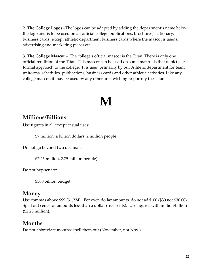2. **The College Logos** –The logos can be adapted by adding the department's name below the logo and is to be used on all official college publications, brochures, stationary, business cards (except athletic department business cards where the mascot is used), advertising and marketing pieces etc.

 3. **The College Mascot** – The college's official mascot is the Titan. There is only one formal approach to the college. It is used primarily by our Athletic department for team college mascot, it may be used by any other area wishing to portray the Titan. official rendition of the Titan. This mascot can be used on some materials that depict a less uniforms, schedules, publications, business cards and other athletic activities. Like any

### **M**

#### **Millions/Billions**

Use figures in all except casual uses:

\$7 million, a billion dollars, 2 million people

Do not go beyond two decimals:

\$7.25 million, 2.75 million people)

Do not hyphenate:

\$300 billion budget

#### **Money**

Use commas above 999 (\$1,234). For even dollar amounts, do not add .00 (\$30 not \$30.00). Spell out cents for amounts less than a dollar (five cents). Use figures with million/billion (\$2.25 million).

#### **Months**

Do not abbreviate months; spell them out (November, not Nov.)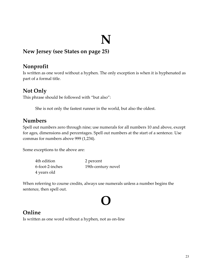#### **New Jersey (see States on page 25)**

#### **Nonprofit**

Is written as one word without a hyphen. The only exception is when it is hyphenated as part of a formal title.

#### **Not Only**

This phrase should be followed with "but also":

She is not only the fastest runner in the world, but also the oldest.

#### **Numbers**

Spell out numbers zero through nine; use numerals for all numbers 10 and above, except for ages, dimensions and percentages. Spell out numbers at the start of a sentence. Use commas for numbers above 999 (1,234).

Some exceptions to the above are:

| 4th edition     | 2 percent          |
|-----------------|--------------------|
| 6-foot-2-inches | 19th-century novel |
| 4 years old     |                    |

When referring to course credits, always use numerals unless a number begins the sentence, then spell out.

### **O**

#### **Online**

Is written as one word without a hyphen, not as on-line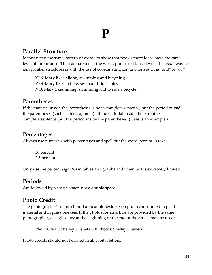### **P**

#### **Parallel Structure**

Means using the same pattern of words to show that two or more ideas have the same level of importance. This can happen at the word, phrase or clause level. The usual way to join parallel structures is with the use of coordinating conjunctions such as "and" or "or."

YES: Mary likes hiking, swimming and bicycling. YES: Mary likes to hike, swim and ride a bicycle. NO: Mary likes hiking, swimming and to ride a bicycle.

#### **Parentheses**

If the material inside the parentheses is not a complete sentence, put the period outside the parentheses (such as this fragment). If the material inside the parenthesis is a complete sentence, put the period inside the parentheses. (Here is an example.)

#### **Percentages**

Always use numerals with percentages and spell out the word percent in text.

50 percent 2.5 percent

Only use the percent sign (%) in tables and graphs and when text is extremely limited.

#### **Periods**

Are followed by a single space, not a double space.

#### **Photo Credit**

The photographer's name should appear alongside each photo contributed in print material and in press releases. If the photos for an article are provided by the same photographer, a single entry at the beginning or the end of the article may be used:

Photo Credit: Shelley Kusnetz OR Photos: Shelley Kusnetz

Photo credits should not be listed in all capital letters.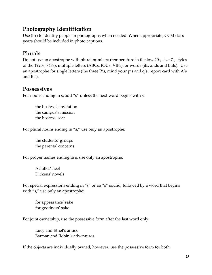#### **Photography Identification**

Use (l-r) to identify people in photographs when needed. When appropriate, CCM class years should be included in photo captions.

#### **Plurals**

 Do not use an apostrophe with plural numbers (temperature in the low 20s, size 7s, styles of the 1920s, 747s); multiple letters (ABCs, IOUs, VIPs); or words (ifs, ands and buts). Use an apostrophe for single letters (the three R's, mind your p's and q's, report card with A's and B's).

#### **Possessives**

For nouns ending in s, add "s" unless the next word begins with s:

the hostess's invitation the campus's mission the hostess' seat

For plural nouns ending in "s," use only an apostrophe:

the students' groups the parents' concerns

For proper names ending in s, use only an apostrophe:

Achilles' heel Dickens' novels

For special expressions ending in "s" or an "s" sound, followed by a word that begins with "s," use only an apostrophe:

for appearance' sake for goodness' sake

For joint ownership, use the possessive form after the last word only:

Lucy and Ethel's antics Batman and Robin's adventures

If the objects are individually owned, however, use the possessive form for both: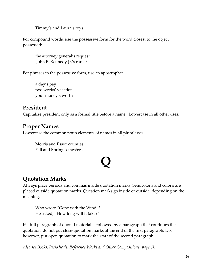Timmy's and Laura's toys

For compound words, use the possessive form for the word closest to the object possessed:

the attorney general's request John F. Kennedy Jr.'s career

For phrases in the possessive form, use an apostrophe:

a day's pay two weeks' vacation your money's worth

#### **President**

Capitalize president only as a formal title before a name. Lowercase in all other uses.

#### **Proper Names**

Lowercase the common noun elements of names in all plural uses:

Morris and Essex counties Fall and Spring semesters

# **Q**

#### **Quotation Marks**

Always place periods and commas inside quotation marks. Semicolons and colons are placed outside quotation marks. Question marks go inside or outside, depending on the meaning.

Who wrote "Gone with the Wind"? He asked, "How long will it take?"

If a full paragraph of quoted material is followed by a paragraph that continues the quotation, do not put close-quotation marks at the end of the first paragraph. Do, however, put open quotation to mark the start of the second paragraph.

*Also see Books, Periodicals, Reference Works and Other Compositions (page 6).*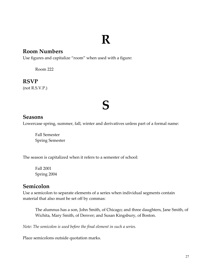### **R**

#### **Room Numbers**

Use figures and capitalize "room" when used with a figure:

Room 222

#### **RSVP**

(not R.S.V.P.)

### **S**

#### **Seasons**

Lowercase spring, summer, fall, winter and derivatives unless part of a formal name:

Fall Semester Spring Semester

The season is capitalized when it refers to a semester of school:

Fall 2001 Spring 2004

#### **Semicolon**

Use a semicolon to separate elements of a series when individual segments contain material that also must be set off by commas:

 Wichita, Mary Smith, of Denver; and Susan Kingsbury, of Boston. The alumnus has a son, John Smith, of Chicago; and three daughters, Jane Smith, of

*Note: The semicolon is used before the final element in such a series.* 

Place semicolons outside quotation marks.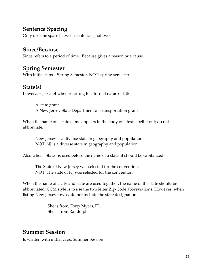#### **Sentence Spacing**

Only use one space between sentences, not two.

#### **Since/Because**

Since refers to a period of time. Because gives a reason or a cause.

#### **Spring Semester**

With initial caps – Spring Semester, NOT: spring semester.

#### **State(s)**

Lowercase, except when referring to a formal name or title

A state grant A New Jersey State Department of Transportation grant

When the name of a state name appears in the body of a text, spell it out; do not abbreviate.

NOT: NJ is a diverse state in geography and population. New Jersey is a diverse state in geography and population.

Also when "State" is used before the name of a state, it should be capitalized.

The State of New Jersey was selected for the convention. NOT: The state of NJ was selected for the convention.

When the name of a city and state are used together, the name of the state should be abbreviated; CCM style is to use the two letter Zip-Code abbreviations. However, when listing New Jersey towns, do not include the state designation.

> She is from, Forty Myers, FL. She is from Randolph.

#### **Summer Session**

Is written with initial caps: Summer Session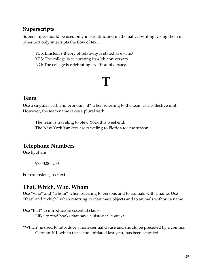#### **Superscripts**

Superscripts should be used only in scientific and mathematical writing. Using them in other text only interrupts the flow of text.

NO: The college is celebrating its  $40<sup>th</sup>$  anniversary. YES: Einstein's theory of relativity is stated as  $e = mc^2$ YES: The college is celebrating its 40th anniversary.

### **T**

#### **Team**

Use a singular verb and pronoun "it" when referring to the team as a collective unit. However, the team name takes a plural verb.

The team is traveling to New York this weekend. The New York Yankees are traveling to Florida for the season.

#### **Telephone Numbers**

Use hyphens

973-328-5250

For extensions, use: ext.

#### **That, Which, Who, Whom**

Use "who" and "whom" when referring to persons and to animals with a name. Use "that" and "which" when referring to inanimate objects and to animals without a name.

Use "that" to introduce an essential clause:

I like to read books that have a historical context.

"Which" is used to introduce a nonessential clause and should be preceded by a comma: German 101, which the school initiated last year, has been canceled.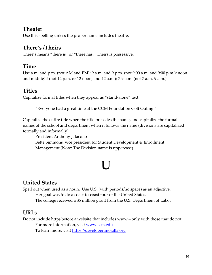#### **Theater**

Use this spelling unless the proper name includes theatre.

#### **There's /Theirs**

There's means "there is" or "there has." Theirs is possessive.

#### **Time**

Use a.m. and p.m. (not AM and PM); 9 a.m. and 9 p.m. (not 9:00 a.m. and 9:00 p.m.); noon and midnight (not 12 p.m. or 12 noon, and 12 a.m.); 7-9 a.m. (not 7 a.m.-9 a.m.).

#### **Titles**

Capitalize formal titles when they appear as "stand-alone" text:

"Everyone had a great time at the CCM Foundation Golf Outing."

Capitalize the entire title when the title precedes the name, and capitalize the formal names of the school and department when it follows the name (divisions are capitalized formally and informally):

President Anthony J. Iacono

Bette Simmons, vice president for Student Development & Enrollment Management (Note: The Division name is uppercase)

### **U**

#### **United States**

 The college received a \$5 million grant from the U.S. Department of Labor Spell out when used as a noun. Use U.S. (with periods/no space) as an adjective. Her goal was to do a coast-to-coast tour of the United States.

#### **URLs**

Do not include https before a website that includes www – only with those that do not. For more information, visit [www.ccm.edu](http://www.ccm.edu/) 

To learn more, visit https://developer.mozilla.org